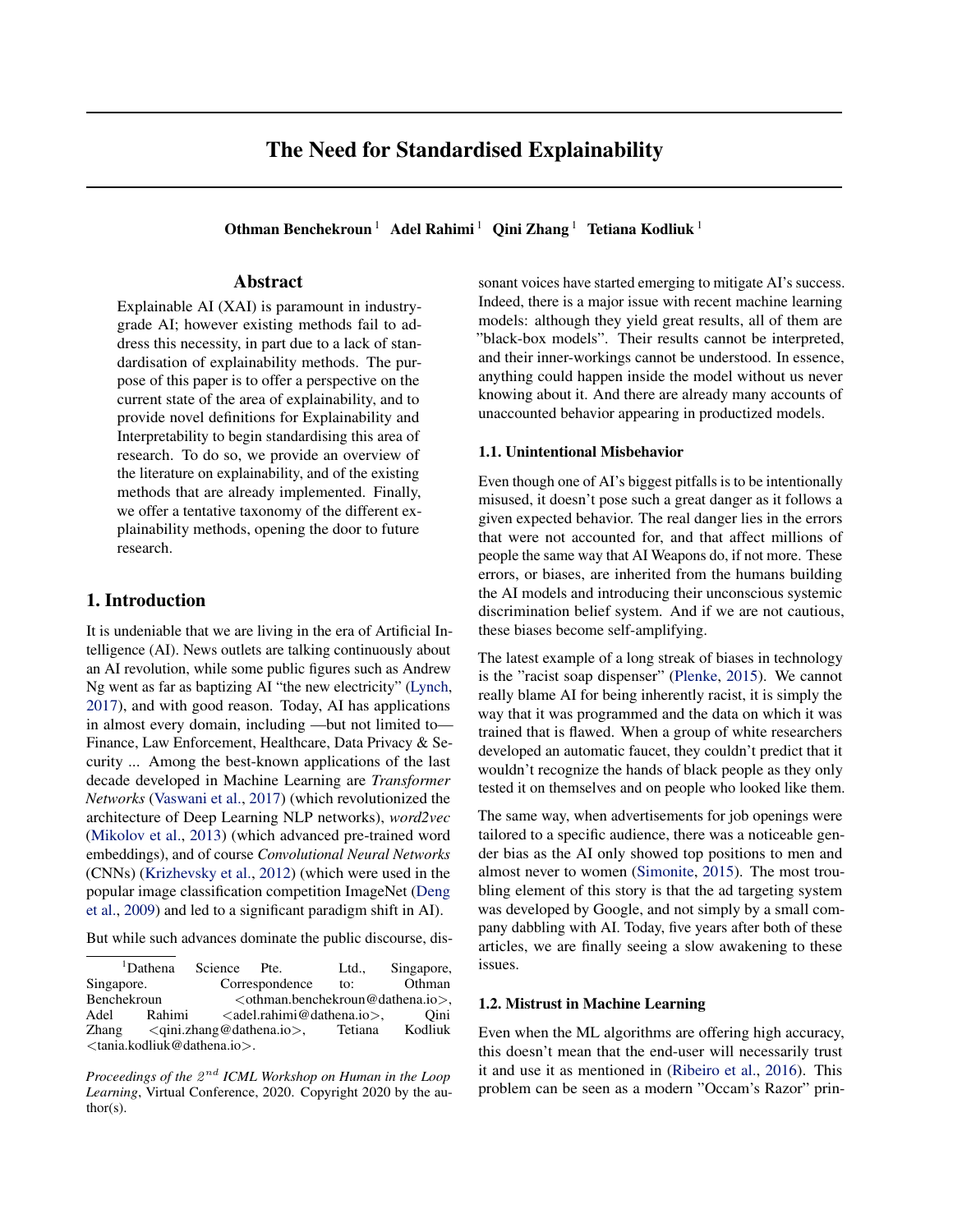# The Need for Standardised Explainability

Othman Benchekroun<sup>1</sup> Adel Rahimi<sup>1</sup> Qini Zhang<sup>1</sup> Tetiana Kodliuk<sup>1</sup>

## Abstract

Explainable AI (XAI) is paramount in industrygrade AI; however existing methods fail to address this necessity, in part due to a lack of standardisation of explainability methods. The purpose of this paper is to offer a perspective on the current state of the area of explainability, and to provide novel definitions for Explainability and Interpretability to begin standardising this area of research. To do so, we provide an overview of the literature on explainability, and of the existing methods that are already implemented. Finally, we offer a tentative taxonomy of the different explainability methods, opening the door to future research.

## 1. Introduction

It is undeniable that we are living in the era of Artificial Intelligence (AI). News outlets are talking continuously about an AI revolution, while some public figures such as Andrew Ng went as far as baptizing AI "the new electricity" [\(Lynch,](#page-6-0) [2017\)](#page-6-0), and with good reason. Today, AI has applications in almost every domain, including —but not limited to— Finance, Law Enforcement, Healthcare, Data Privacy & Security ... Among the best-known applications of the last decade developed in Machine Learning are *Transformer Networks* [\(Vaswani et al.,](#page-6-0) [2017\)](#page-6-0) (which revolutionized the architecture of Deep Learning NLP networks), *word2vec* [\(Mikolov et al.,](#page-6-0) [2013\)](#page-6-0) (which advanced pre-trained word embeddings), and of course *Convolutional Neural Networks* (CNNs) [\(Krizhevsky et al.,](#page-6-0) [2012\)](#page-6-0) (which were used in the popular image classification competition ImageNet [\(Deng](#page-6-0) [et al.,](#page-6-0) [2009\)](#page-6-0) and led to a significant paradigm shift in AI).

But while such advances dominate the public discourse, dis-

<sup>1</sup>Dathena Science Pte. Ltd., Singapore, Singapore. Correspondence to: Othman<br>Benchekroun < Othman.benchekroun@dathena.io>. <othman.benchekroun@dathena.io>, Adel Rahimi <adel.rahimi@dathena.io>, Oini Zhang <qini.zhang@dathena.io>, Tetiana Kodliuk <tania.kodliuk@dathena.io>.

Proceedings of the  $2^{nd}$  *ICML Workshop on Human in the Loop Learning*, Virtual Conference, 2020. Copyright 2020 by the author(s).

sonant voices have started emerging to mitigate AI's success. Indeed, there is a major issue with recent machine learning models: although they yield great results, all of them are "black-box models". Their results cannot be interpreted, and their inner-workings cannot be understood. In essence, anything could happen inside the model without us never knowing about it. And there are already many accounts of unaccounted behavior appearing in productized models.

#### 1.1. Unintentional Misbehavior

Even though one of AI's biggest pitfalls is to be intentionally misused, it doesn't pose such a great danger as it follows a given expected behavior. The real danger lies in the errors that were not accounted for, and that affect millions of people the same way that AI Weapons do, if not more. These errors, or biases, are inherited from the humans building the AI models and introducing their unconscious systemic discrimination belief system. And if we are not cautious, these biases become self-amplifying.

The latest example of a long streak of biases in technology is the "racist soap dispenser" [\(Plenke,](#page-6-0) [2015\)](#page-6-0). We cannot really blame AI for being inherently racist, it is simply the way that it was programmed and the data on which it was trained that is flawed. When a group of white researchers developed an automatic faucet, they couldn't predict that it wouldn't recognize the hands of black people as they only tested it on themselves and on people who looked like them.

The same way, when advertisements for job openings were tailored to a specific audience, there was a noticeable gender bias as the AI only showed top positions to men and almost never to women [\(Simonite,](#page-6-0) [2015\)](#page-6-0). The most troubling element of this story is that the ad targeting system was developed by Google, and not simply by a small company dabbling with AI. Today, five years after both of these articles, we are finally seeing a slow awakening to these issues.

#### 1.2. Mistrust in Machine Learning

Even when the ML algorithms are offering high accuracy, this doesn't mean that the end-user will necessarily trust it and use it as mentioned in [\(Ribeiro et al.,](#page-6-0) [2016\)](#page-6-0). This problem can be seen as a modern "Occam's Razor" prin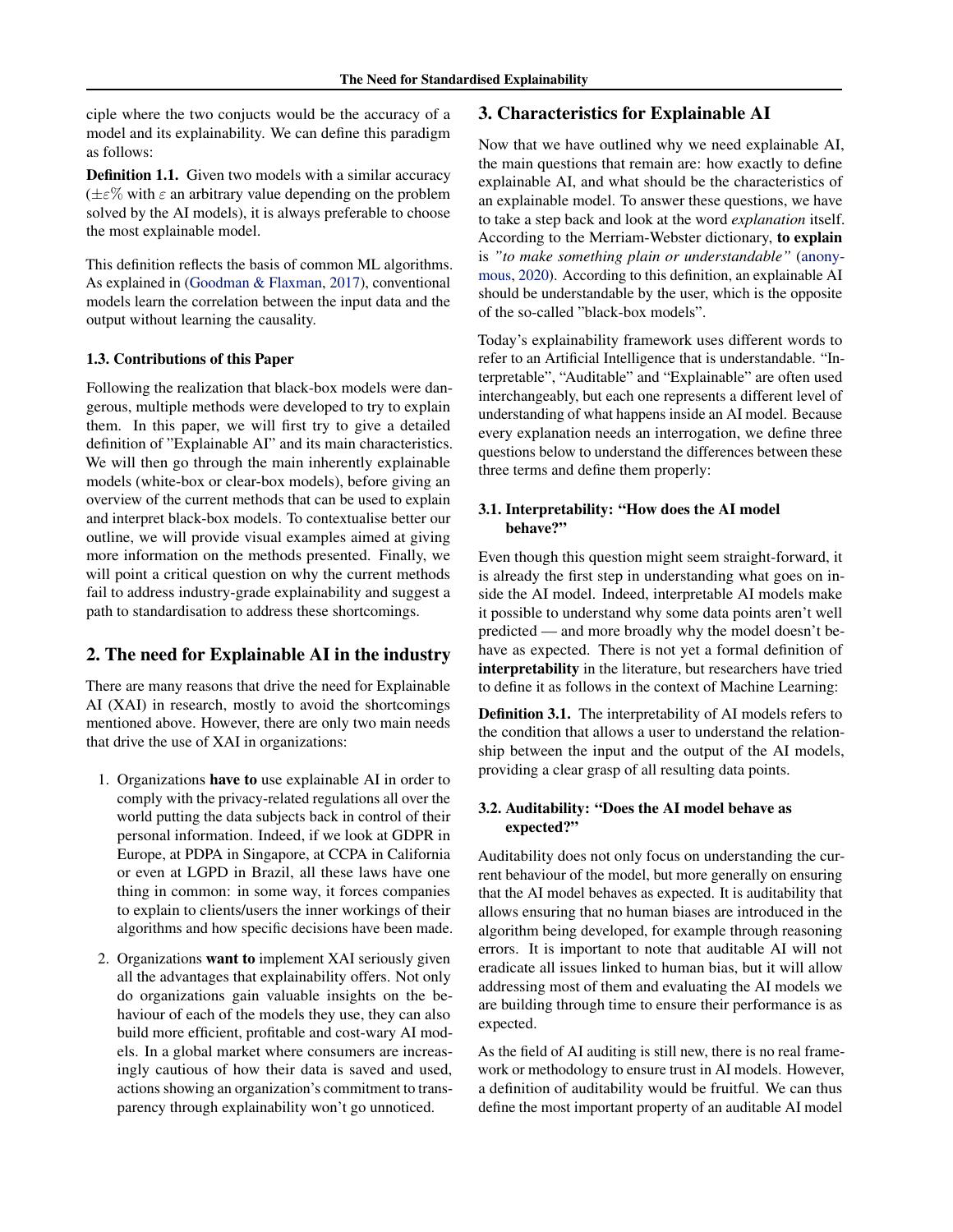ciple where the two conjucts would be the accuracy of a model and its explainability. We can define this paradigm as follows:

Definition 1.1. Given two models with a similar accuracy  $(\pm \varepsilon\%$  with  $\varepsilon$  an arbitrary value depending on the problem solved by the AI models), it is always preferable to choose the most explainable model.

This definition reflects the basis of common ML algorithms. As explained in [\(Goodman & Flaxman,](#page-6-0) [2017\)](#page-6-0), conventional models learn the correlation between the input data and the output without learning the causality.

#### 1.3. Contributions of this Paper

Following the realization that black-box models were dangerous, multiple methods were developed to try to explain them. In this paper, we will first try to give a detailed definition of "Explainable AI" and its main characteristics. We will then go through the main inherently explainable models (white-box or clear-box models), before giving an overview of the current methods that can be used to explain and interpret black-box models. To contextualise better our outline, we will provide visual examples aimed at giving more information on the methods presented. Finally, we will point a critical question on why the current methods fail to address industry-grade explainability and suggest a path to standardisation to address these shortcomings.

## 2. The need for Explainable AI in the industry

There are many reasons that drive the need for Explainable AI (XAI) in research, mostly to avoid the shortcomings mentioned above. However, there are only two main needs that drive the use of XAI in organizations:

- 1. Organizations have to use explainable AI in order to comply with the privacy-related regulations all over the world putting the data subjects back in control of their personal information. Indeed, if we look at GDPR in Europe, at PDPA in Singapore, at CCPA in California or even at LGPD in Brazil, all these laws have one thing in common: in some way, it forces companies to explain to clients/users the inner workings of their algorithms and how specific decisions have been made.
- 2. Organizations want to implement XAI seriously given all the advantages that explainability offers. Not only do organizations gain valuable insights on the behaviour of each of the models they use, they can also build more efficient, profitable and cost-wary AI models. In a global market where consumers are increasingly cautious of how their data is saved and used, actions showing an organization's commitment to transparency through explainability won't go unnoticed.

## 3. Characteristics for Explainable AI

Now that we have outlined why we need explainable AI, the main questions that remain are: how exactly to define explainable AI, and what should be the characteristics of an explainable model. To answer these questions, we have to take a step back and look at the word *explanation* itself. According to the Merriam-Webster dictionary, to explain is *"to make something plain or understandable"* [\(anony](#page-6-0)[mous,](#page-6-0) [2020\)](#page-6-0). According to this definition, an explainable AI should be understandable by the user, which is the opposite of the so-called "black-box models".

Today's explainability framework uses different words to refer to an Artificial Intelligence that is understandable. "Interpretable", "Auditable" and "Explainable" are often used interchangeably, but each one represents a different level of understanding of what happens inside an AI model. Because every explanation needs an interrogation, we define three questions below to understand the differences between these three terms and define them properly:

#### 3.1. Interpretability: "How does the AI model behave?"

Even though this question might seem straight-forward, it is already the first step in understanding what goes on inside the AI model. Indeed, interpretable AI models make it possible to understand why some data points aren't well predicted — and more broadly why the model doesn't behave as expected. There is not yet a formal definition of interpretability in the literature, but researchers have tried to define it as follows in the context of Machine Learning:

Definition 3.1. The interpretability of AI models refers to the condition that allows a user to understand the relationship between the input and the output of the AI models, providing a clear grasp of all resulting data points.

#### 3.2. Auditability: "Does the AI model behave as expected?"

Auditability does not only focus on understanding the current behaviour of the model, but more generally on ensuring that the AI model behaves as expected. It is auditability that allows ensuring that no human biases are introduced in the algorithm being developed, for example through reasoning errors. It is important to note that auditable AI will not eradicate all issues linked to human bias, but it will allow addressing most of them and evaluating the AI models we are building through time to ensure their performance is as expected.

As the field of AI auditing is still new, there is no real framework or methodology to ensure trust in AI models. However, a definition of auditability would be fruitful. We can thus define the most important property of an auditable AI model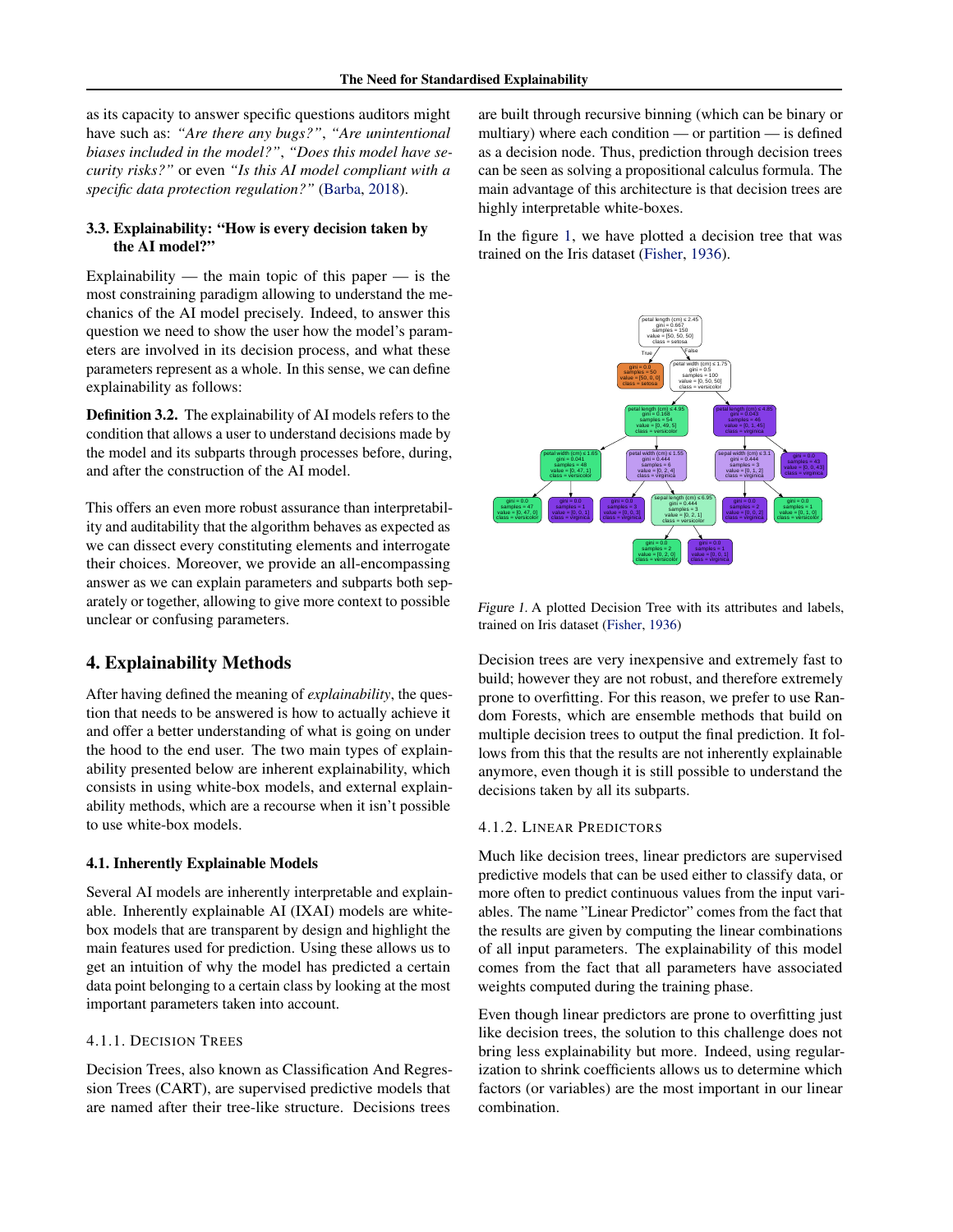as its capacity to answer specific questions auditors might have such as: *"Are there any bugs?"*, *"Are unintentional biases included in the model?"*, *"Does this model have security risks?"* or even *"Is this AI model compliant with a specific data protection regulation?"* [\(Barba,](#page-6-0) [2018\)](#page-6-0).

#### 3.3. Explainability: "How is every decision taken by the AI model?"

Explainability — the main topic of this paper — is the most constraining paradigm allowing to understand the mechanics of the AI model precisely. Indeed, to answer this question we need to show the user how the model's parameters are involved in its decision process, and what these parameters represent as a whole. In this sense, we can define explainability as follows:

Definition 3.2. The explainability of AI models refers to the condition that allows a user to understand decisions made by the model and its subparts through processes before, during, and after the construction of the AI model.

This offers an even more robust assurance than interpretability and auditability that the algorithm behaves as expected as we can dissect every constituting elements and interrogate their choices. Moreover, we provide an all-encompassing answer as we can explain parameters and subparts both separately or together, allowing to give more context to possible unclear or confusing parameters.

## 4. Explainability Methods

After having defined the meaning of *explainability*, the question that needs to be answered is how to actually achieve it and offer a better understanding of what is going on under the hood to the end user. The two main types of explainability presented below are inherent explainability, which consists in using white-box models, and external explainability methods, which are a recourse when it isn't possible to use white-box models.

#### 4.1. Inherently Explainable Models

Several AI models are inherently interpretable and explainable. Inherently explainable AI (IXAI) models are whitebox models that are transparent by design and highlight the main features used for prediction. Using these allows us to get an intuition of why the model has predicted a certain data point belonging to a certain class by looking at the most important parameters taken into account.

#### 4.1.1. DECISION TREES

Decision Trees, also known as Classification And Regression Trees (CART), are supervised predictive models that are named after their tree-like structure. Decisions trees

are built through recursive binning (which can be binary or multiary) where each condition — or partition — is defined as a decision node. Thus, prediction through decision trees can be seen as solving a propositional calculus formula. The main advantage of this architecture is that decision trees are highly interpretable white-boxes.

In the figure 1, we have plotted a decision tree that was trained on the Iris dataset [\(Fisher,](#page-6-0) [1936\)](#page-6-0).



Figure 1. A plotted Decision Tree with its attributes and labels, trained on Iris dataset [\(Fisher,](#page-6-0) [1936\)](#page-6-0)

Decision trees are very inexpensive and extremely fast to build; however they are not robust, and therefore extremely prone to overfitting. For this reason, we prefer to use Random Forests, which are ensemble methods that build on multiple decision trees to output the final prediction. It follows from this that the results are not inherently explainable anymore, even though it is still possible to understand the decisions taken by all its subparts.

#### 4.1.2. LINEAR PREDICTORS

Much like decision trees, linear predictors are supervised predictive models that can be used either to classify data, or more often to predict continuous values from the input variables. The name "Linear Predictor" comes from the fact that the results are given by computing the linear combinations of all input parameters. The explainability of this model comes from the fact that all parameters have associated weights computed during the training phase.

Even though linear predictors are prone to overfitting just like decision trees, the solution to this challenge does not bring less explainability but more. Indeed, using regularization to shrink coefficients allows us to determine which factors (or variables) are the most important in our linear combination.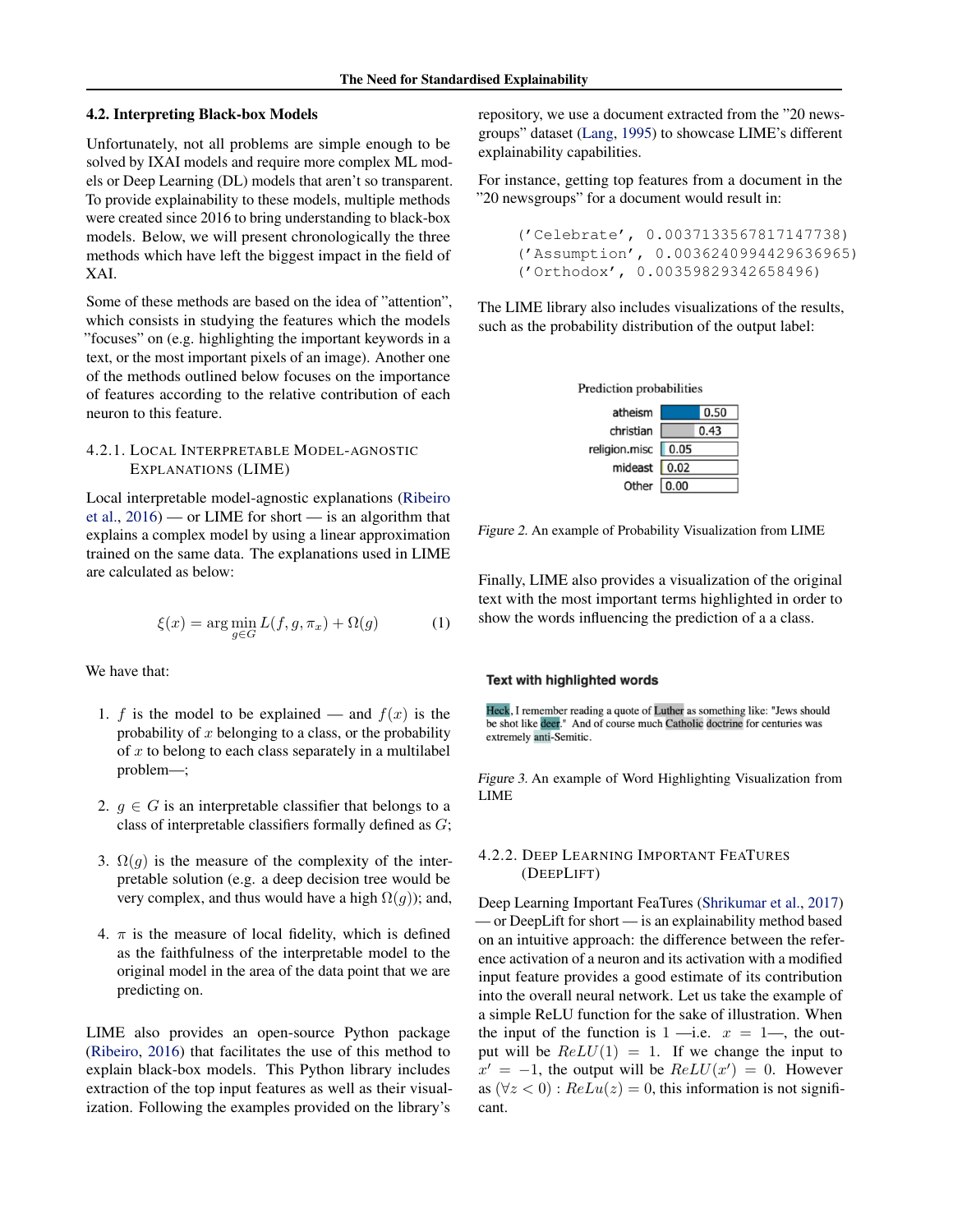#### 4.2. Interpreting Black-box Models

Unfortunately, not all problems are simple enough to be solved by IXAI models and require more complex ML models or Deep Learning (DL) models that aren't so transparent. To provide explainability to these models, multiple methods were created since 2016 to bring understanding to black-box models. Below, we will present chronologically the three methods which have left the biggest impact in the field of XAI.

Some of these methods are based on the idea of "attention", which consists in studying the features which the models "focuses" on (e.g. highlighting the important keywords in a text, or the most important pixels of an image). Another one of the methods outlined below focuses on the importance of features according to the relative contribution of each neuron to this feature.

## 4.2.1. LOCAL INTERPRETABLE MODEL-AGNOSTIC EXPLANATIONS (LIME)

Local interpretable model-agnostic explanations [\(Ribeiro](#page-6-0) [et al.,](#page-6-0)  $2016$ ) — or LIME for short — is an algorithm that explains a complex model by using a linear approximation trained on the same data. The explanations used in LIME are calculated as below:

$$
\xi(x) = \arg\min_{g \in G} L(f, g, \pi_x) + \Omega(g) \tag{1}
$$

We have that:

- 1. f is the model to be explained and  $f(x)$  is the probability of  $x$  belonging to a class, or the probability of  $x$  to belong to each class separately in a multilabel problem—;
- 2.  $q \in G$  is an interpretable classifier that belongs to a class of interpretable classifiers formally defined as G;
- 3.  $\Omega(q)$  is the measure of the complexity of the interpretable solution (e.g. a deep decision tree would be very complex, and thus would have a high  $\Omega(g)$ ; and,
- 4.  $\pi$  is the measure of local fidelity, which is defined as the faithfulness of the interpretable model to the original model in the area of the data point that we are predicting on.

LIME also provides an open-source Python package [\(Ribeiro,](#page-6-0) [2016\)](#page-6-0) that facilitates the use of this method to explain black-box models. This Python library includes extraction of the top input features as well as their visualization. Following the examples provided on the library's

repository, we use a document extracted from the "20 newsgroups" dataset [\(Lang,](#page-6-0) [1995\)](#page-6-0) to showcase LIME's different explainability capabilities.

For instance, getting top features from a document in the "20 newsgroups" for a document would result in:

```
('Celebrate', 0.0037133567817147738)
('Assumption', 0.0036240994429636965)
('Orthodox', 0.00359829342658496)
```
The LIME library also includes visualizations of the results, such as the probability distribution of the output label:



Figure 2. An example of Probability Visualization from LIME

Finally, LIME also provides a visualization of the original text with the most important terms highlighted in order to show the words influencing the prediction of a a class.

#### Text with highlighted words

Heck, I remember reading a quote of Luther as something like: "Jews should be shot like deer." And of course much Catholic doctrine for centuries was extremely anti-Semitic.

Figure 3. An example of Word Highlighting Visualization from LIME

#### 4.2.2. DEEP LEARNING IMPORTANT FEATURES (DEEPLIFT)

Deep Learning Important FeaTures [\(Shrikumar et al.,](#page-6-0) [2017\)](#page-6-0) — or DeepLift for short — is an explainability method based on an intuitive approach: the difference between the reference activation of a neuron and its activation with a modified input feature provides a good estimate of its contribution into the overall neural network. Let us take the example of a simple ReLU function for the sake of illustration. When the input of the function is  $1$  —i.e.  $x = 1$ —, the output will be  $ReLU(1) = 1$ . If we change the input to  $x' = -1$ , the output will be  $ReLU(x') = 0$ . However as  $(\forall z < 0)$ :  $ReLu(z) = 0$ , this information is not significant.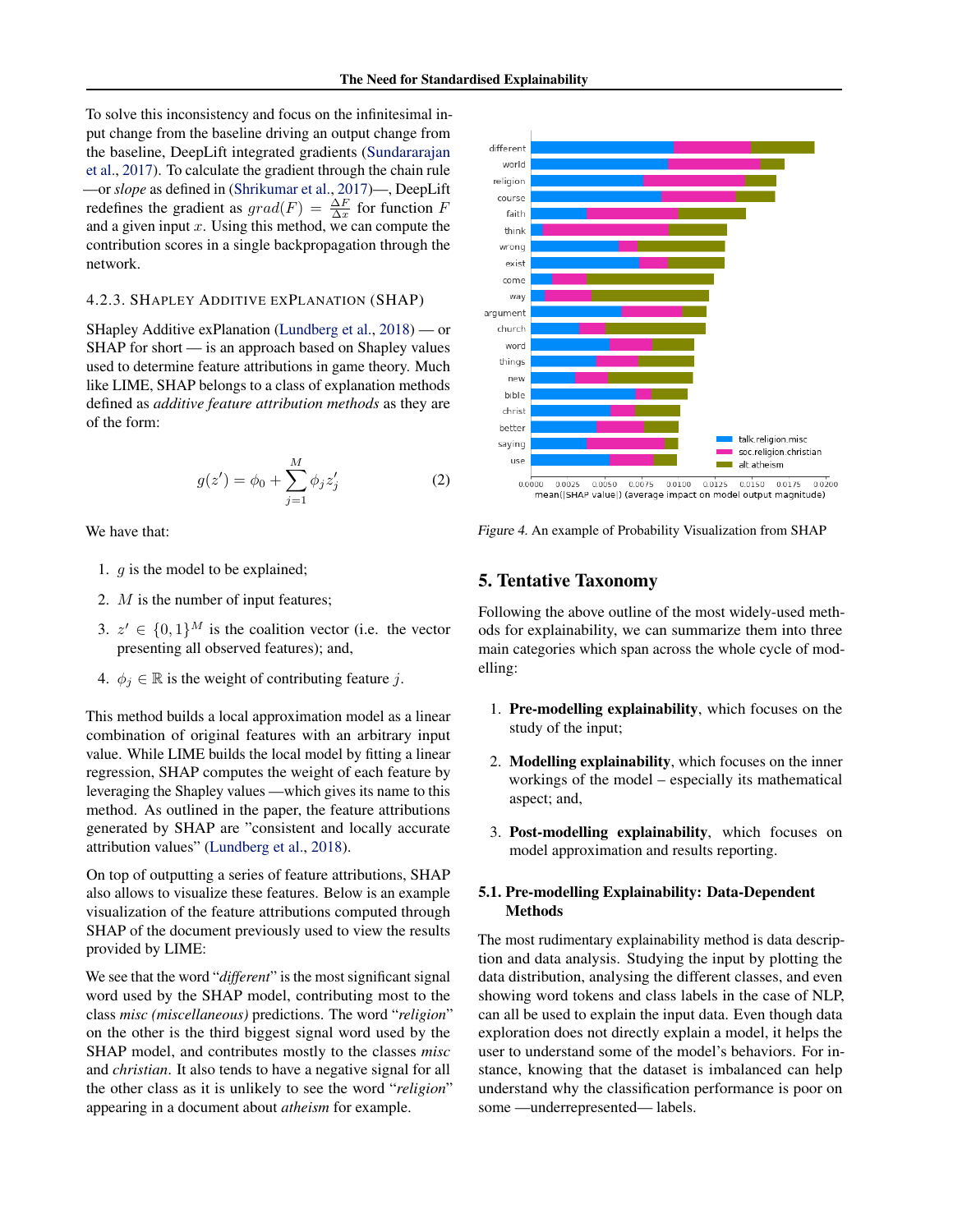To solve this inconsistency and focus on the infinitesimal input change from the baseline driving an output change from the baseline, DeepLift integrated gradients [\(Sundararajan](#page-6-0) [et al.,](#page-6-0) [2017\)](#page-6-0). To calculate the gradient through the chain rule —or *slope* as defined in [\(Shrikumar et al.,](#page-6-0) [2017\)](#page-6-0)—, DeepLift redefines the gradient as  $grad(F) = \frac{\Delta F}{\Delta x}$  for function F and a given input  $x$ . Using this method, we can compute the contribution scores in a single backpropagation through the network.

#### 4.2.3. SHAPLEY ADDITIVE EXPLANATION (SHAP)

SHapley Additive exPlanation [\(Lundberg et al.,](#page-6-0) [2018\)](#page-6-0) — or SHAP for short — is an approach based on Shapley values used to determine feature attributions in game theory. Much like LIME, SHAP belongs to a class of explanation methods defined as *additive feature attribution methods* as they are of the form:

$$
g(z') = \phi_0 + \sum_{j=1}^{M} \phi_j z'_j
$$
 (2)

We have that:

- 1. g is the model to be explained;
- 2. M is the number of input features;
- 3.  $z' \in \{0,1\}^M$  is the coalition vector (i.e. the vector presenting all observed features); and,
- 4.  $\phi_j \in \mathbb{R}$  is the weight of contributing feature j.

This method builds a local approximation model as a linear combination of original features with an arbitrary input value. While LIME builds the local model by fitting a linear regression, SHAP computes the weight of each feature by leveraging the Shapley values —which gives its name to this method. As outlined in the paper, the feature attributions generated by SHAP are "consistent and locally accurate attribution values" [\(Lundberg et al.,](#page-6-0) [2018\)](#page-6-0).

On top of outputting a series of feature attributions, SHAP also allows to visualize these features. Below is an example visualization of the feature attributions computed through SHAP of the document previously used to view the results provided by LIME:

We see that the word "*different*" is the most significant signal word used by the SHAP model, contributing most to the class *misc (miscellaneous)* predictions. The word "*religion*" on the other is the third biggest signal word used by the SHAP model, and contributes mostly to the classes *misc* and *christian*. It also tends to have a negative signal for all the other class as it is unlikely to see the word "*religion*" appearing in a document about *atheism* for example.



Figure 4. An example of Probability Visualization from SHAP

## 5. Tentative Taxonomy

Following the above outline of the most widely-used methods for explainability, we can summarize them into three main categories which span across the whole cycle of modelling:

- 1. Pre-modelling explainability, which focuses on the study of the input;
- 2. Modelling explainability, which focuses on the inner workings of the model – especially its mathematical aspect; and,
- 3. Post-modelling explainability, which focuses on model approximation and results reporting.

## 5.1. Pre-modelling Explainability: Data-Dependent Methods

The most rudimentary explainability method is data description and data analysis. Studying the input by plotting the data distribution, analysing the different classes, and even showing word tokens and class labels in the case of NLP, can all be used to explain the input data. Even though data exploration does not directly explain a model, it helps the user to understand some of the model's behaviors. For instance, knowing that the dataset is imbalanced can help understand why the classification performance is poor on some —underrepresented— labels.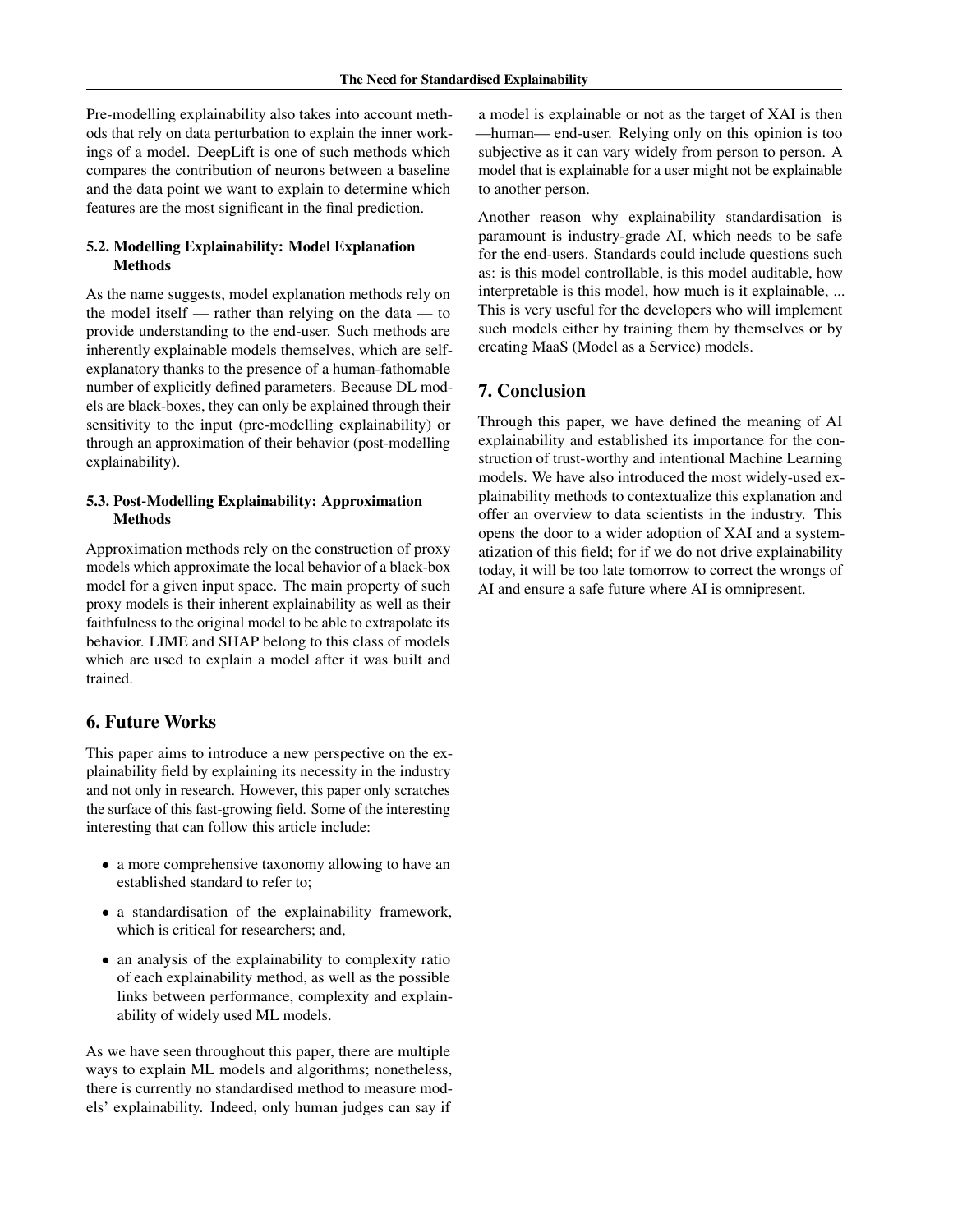Pre-modelling explainability also takes into account methods that rely on data perturbation to explain the inner workings of a model. DeepLift is one of such methods which compares the contribution of neurons between a baseline and the data point we want to explain to determine which features are the most significant in the final prediction.

## 5.2. Modelling Explainability: Model Explanation Methods

As the name suggests, model explanation methods rely on the model itself — rather than relying on the data — to provide understanding to the end-user. Such methods are inherently explainable models themselves, which are selfexplanatory thanks to the presence of a human-fathomable number of explicitly defined parameters. Because DL models are black-boxes, they can only be explained through their sensitivity to the input (pre-modelling explainability) or through an approximation of their behavior (post-modelling explainability).

## 5.3. Post-Modelling Explainability: Approximation Methods

Approximation methods rely on the construction of proxy models which approximate the local behavior of a black-box model for a given input space. The main property of such proxy models is their inherent explainability as well as their faithfulness to the original model to be able to extrapolate its behavior. LIME and SHAP belong to this class of models which are used to explain a model after it was built and trained.

## 6. Future Works

This paper aims to introduce a new perspective on the explainability field by explaining its necessity in the industry and not only in research. However, this paper only scratches the surface of this fast-growing field. Some of the interesting interesting that can follow this article include:

- a more comprehensive taxonomy allowing to have an established standard to refer to;
- a standardisation of the explainability framework, which is critical for researchers; and,
- an analysis of the explainability to complexity ratio of each explainability method, as well as the possible links between performance, complexity and explainability of widely used ML models.

As we have seen throughout this paper, there are multiple ways to explain ML models and algorithms; nonetheless, there is currently no standardised method to measure models' explainability. Indeed, only human judges can say if a model is explainable or not as the target of XAI is then —human— end-user. Relying only on this opinion is too subjective as it can vary widely from person to person. A model that is explainable for a user might not be explainable to another person.

Another reason why explainability standardisation is paramount is industry-grade AI, which needs to be safe for the end-users. Standards could include questions such as: is this model controllable, is this model auditable, how interpretable is this model, how much is it explainable, ... This is very useful for the developers who will implement such models either by training them by themselves or by creating MaaS (Model as a Service) models.

## 7. Conclusion

Through this paper, we have defined the meaning of AI explainability and established its importance for the construction of trust-worthy and intentional Machine Learning models. We have also introduced the most widely-used explainability methods to contextualize this explanation and offer an overview to data scientists in the industry. This opens the door to a wider adoption of XAI and a systematization of this field; for if we do not drive explainability today, it will be too late tomorrow to correct the wrongs of AI and ensure a safe future where AI is omnipresent.